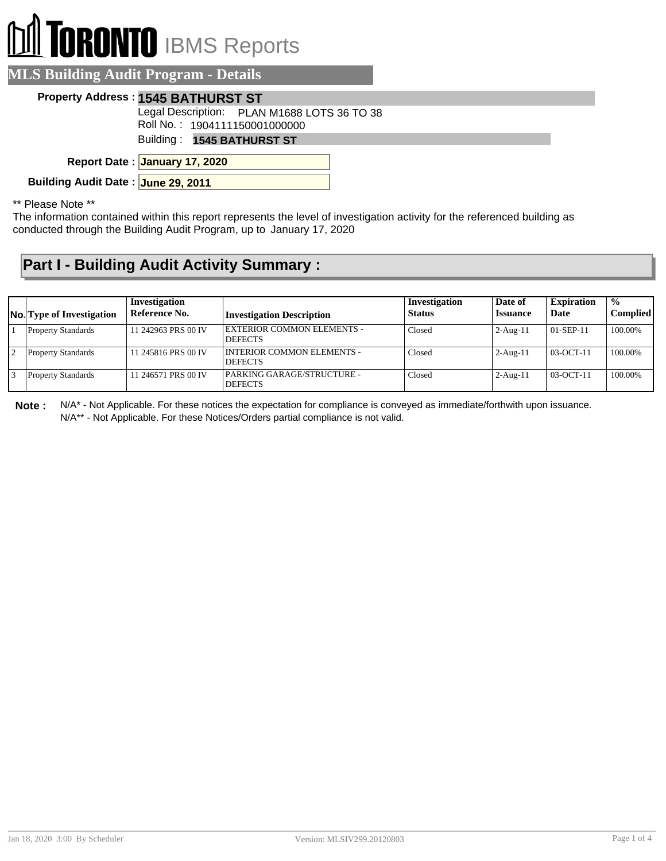# **DRONTO** IBMS Reports

|  | <b>MLS Building Audit Program - Details</b> |  |
|--|---------------------------------------------|--|
|  |                                             |  |

#### **Property Address : 1545 BATHURST ST**

Legal Description: PLAN M1688 LOTS 36 TO 38

Roll No. : 1904111150001000000

Building : **1545 BATHURST ST**

**January 17, 2020 Report Date :**

**Building Audit Date : June 29, 2011**

\*\* Please Note \*\*

The information contained within this report represents the level of investigation activity for the referenced building as conducted through the Building Audit Program, up to January 17, 2020

### **Part I - Building Audit Activity Summary :**

| <b>No.</b> Type of Investigation | Investigation<br>Reference No. | <b>Investigation Description</b>                    | Investigation<br><b>Status</b> | Date of<br><b>Issuance</b> | <b>Expiration</b><br>Date | $\frac{1}{2}$<br><b>Complied</b> |
|----------------------------------|--------------------------------|-----------------------------------------------------|--------------------------------|----------------------------|---------------------------|----------------------------------|
| <b>Property Standards</b>        | 11 242963 PRS 00 IV            | <b>EXTERIOR COMMON ELEMENTS -</b><br><b>DEFECTS</b> | Closed                         | $2-Aug-11$                 | $01-$ SEP-11              | 100.00%                          |
| <b>Property Standards</b>        | 11 245816 PRS 00 IV            | INTERIOR COMMON ELEMENTS -<br><b>DEFECTS</b>        | Closed                         | $2-Aug-11$                 | $03-OCT-11$               | 100.00%                          |
| <b>Property Standards</b>        | 11 246571 PRS 00 IV            | PARKING GARAGE/STRUCTURE -<br><b>DEFECTS</b>        | Closed                         | $2-Aug-11$                 | $03-OCT-11$               | 100.00%                          |

**Note :** N/A\* - Not Applicable. For these notices the expectation for compliance is conveyed as immediate/forthwith upon issuance. N/A\*\* - Not Applicable. For these Notices/Orders partial compliance is not valid.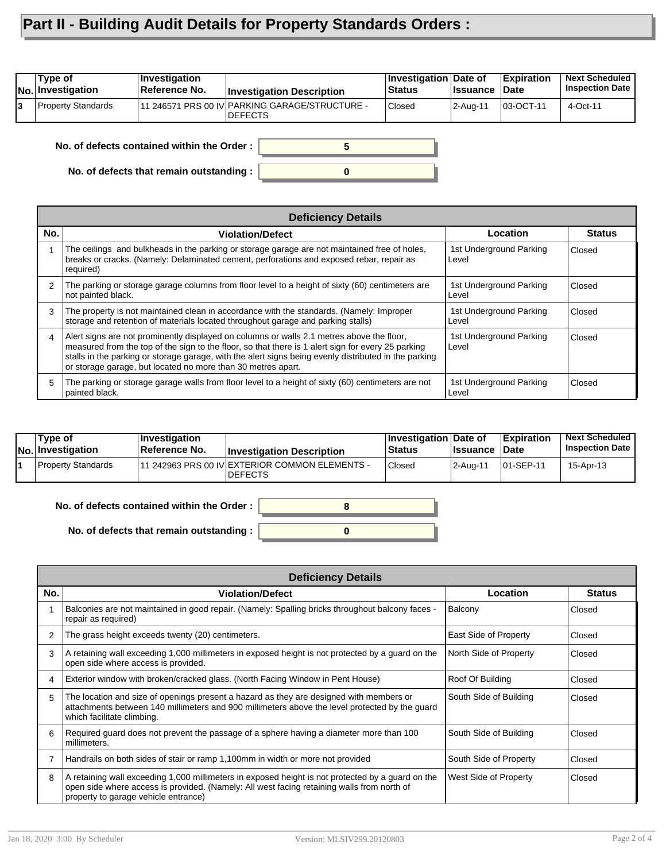## **Part II - Building Audit Details for Property Standards Orders :**

|    | Type of<br><b>No.</b> Investigation | <b>Investigation</b><br>Reference No.      | <b>Investigation Description</b>                                  | Investigation Date of<br><b>Status</b> | <b>Issuance</b> | <b>Expiration</b><br>∣Date | <b>Next Scheduled</b><br><b>Inspection Date</b> |
|----|-------------------------------------|--------------------------------------------|-------------------------------------------------------------------|----------------------------------------|-----------------|----------------------------|-------------------------------------------------|
| l3 | Property Standards                  |                                            | 11 246571 PRS 00 IV PARKING GARAGE/STRUCTURE -<br><b>IDEFECTS</b> | <b>Closed</b>                          | 2-Aug-11        | 03-OCT-11                  | 4-Oct-11                                        |
|    |                                     | No. of defects contained within the Order: |                                                                   |                                        |                 |                            |                                                 |

**0**

**No. of defects that remain outstanding :**

|                | <b>Deficiency Details</b>                                                                                                                                                                                                                                                                                                                                                |                                  |               |
|----------------|--------------------------------------------------------------------------------------------------------------------------------------------------------------------------------------------------------------------------------------------------------------------------------------------------------------------------------------------------------------------------|----------------------------------|---------------|
| No.            | <b>Violation/Defect</b>                                                                                                                                                                                                                                                                                                                                                  | Location                         | <b>Status</b> |
|                | The ceilings and bulkheads in the parking or storage garage are not maintained free of holes,<br>breaks or cracks. (Namely: Delaminated cement, perforations and exposed rebar, repair as<br>required)                                                                                                                                                                   | 1st Underground Parking<br>Level | Closed        |
| $\overline{2}$ | The parking or storage garage columns from floor level to a height of sixty (60) centimeters are<br>not painted black.                                                                                                                                                                                                                                                   | 1st Underground Parking<br>Level | Closed        |
| 3              | The property is not maintained clean in accordance with the standards. (Namely: Improper<br>storage and retention of materials located throughout garage and parking stalls)                                                                                                                                                                                             | 1st Underground Parking<br>Level | Closed        |
| 4              | Alert signs are not prominently displayed on columns or walls 2.1 metres above the floor,<br>measured from the top of the sign to the floor, so that there is 1 alert sign for every 25 parking<br>stalls in the parking or storage garage, with the alert signs being evenly distributed in the parking<br>or storage garage, but located no more than 30 metres apart. | 1st Underground Parking<br>Level | Closed        |
| 5              | The parking or storage garage walls from floor level to a height of sixty (60) centimeters are not<br>painted black.                                                                                                                                                                                                                                                     | 1st Underground Parking<br>Level | Closed        |

| Tvpe of<br>No. Investigation | <b>Investigation</b><br><b>Reference No.</b> | <b>Investigation Description</b>                                  | ∣Investigation ∣Date of<br><b>Status</b> | <b>Issuance Date</b> | <b>Expiration</b> | <b>Next Scheduled</b><br><b>Inspection Date</b> |
|------------------------------|----------------------------------------------|-------------------------------------------------------------------|------------------------------------------|----------------------|-------------------|-------------------------------------------------|
| <b>Property Standards</b>    |                                              | 111 242963 PRS 00 IV EXTERIOR COMMON ELEMENTS -<br><b>DEFECTS</b> | <b>Closed</b>                            | 2-Aug-11             | 101-SEP-11        | 15-Apr-13                                       |

| No. of defects contained within the Order : $\vert$ |  |
|-----------------------------------------------------|--|
|                                                     |  |
| No. of defects that remain outstanding : $\ $       |  |

|     | <b>Deficiency Details</b>                                                                                                                                                                                                               |                        |               |  |  |  |  |
|-----|-----------------------------------------------------------------------------------------------------------------------------------------------------------------------------------------------------------------------------------------|------------------------|---------------|--|--|--|--|
| No. | <b>Violation/Defect</b>                                                                                                                                                                                                                 | Location               | <b>Status</b> |  |  |  |  |
|     | Balconies are not maintained in good repair. (Namely: Spalling bricks throughout balcony faces -<br>repair as required)                                                                                                                 | Balcony                | Closed        |  |  |  |  |
| 2   | The grass height exceeds twenty (20) centimeters.                                                                                                                                                                                       | East Side of Property  | Closed        |  |  |  |  |
| 3   | A retaining wall exceeding 1,000 millimeters in exposed height is not protected by a guard on the<br>open side where access is provided.                                                                                                | North Side of Property | Closed        |  |  |  |  |
| 4   | Exterior window with broken/cracked glass. (North Facing Window in Pent House)                                                                                                                                                          | Roof Of Building       | Closed        |  |  |  |  |
| 5   | The location and size of openings present a hazard as they are designed with members or<br>attachments between 140 millimeters and 900 millimeters above the level protected by the guard<br>which facilitate climbing.                 | South Side of Building | Closed        |  |  |  |  |
| 6   | Required guard does not prevent the passage of a sphere having a diameter more than 100<br>millimeters.                                                                                                                                 | South Side of Building | Closed        |  |  |  |  |
| 7   | Handrails on both sides of stair or ramp 1,100mm in width or more not provided                                                                                                                                                          | South Side of Property | Closed        |  |  |  |  |
| 8   | A retaining wall exceeding 1,000 millimeters in exposed height is not protected by a guard on the<br>open side where access is provided. (Namely: All west facing retaining walls from north of<br>property to garage vehicle entrance) | West Side of Property  | Closed        |  |  |  |  |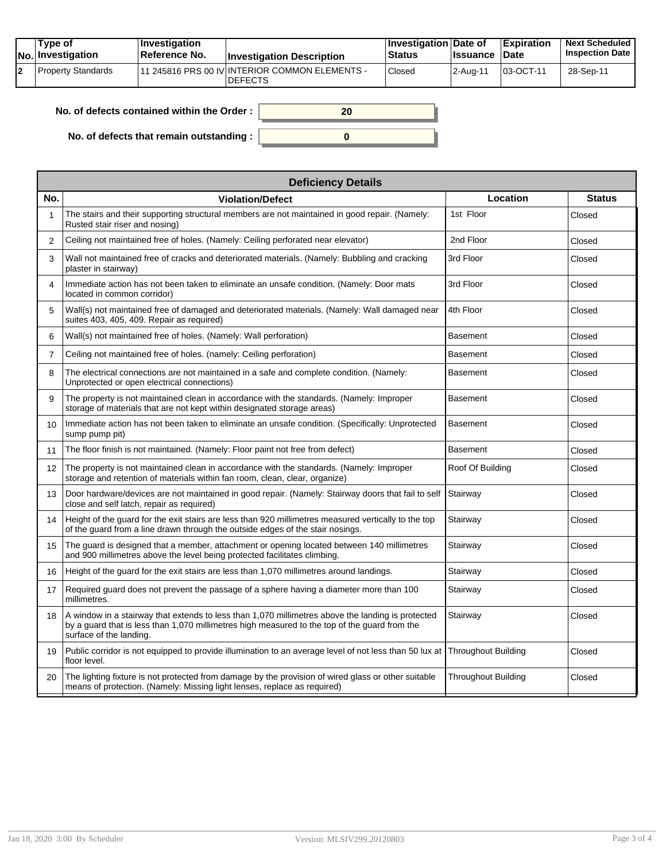| Tvpe of<br>$ No $ Investigation | <b>Investigation</b><br><b>∣Reference No.</b> | <b>Investigation Description</b>                                 | <b>Investigation Date of</b><br><b>Status</b> | <b>Issuance Date</b> | Expiration | <b>Next Scheduled</b><br><b>Inspection Date</b> |
|---------------------------------|-----------------------------------------------|------------------------------------------------------------------|-----------------------------------------------|----------------------|------------|-------------------------------------------------|
| Property Standards              |                                               | 11 245816 PRS 00 IV INTERIOR COMMON ELEMENTS -<br><b>DEFECTS</b> | Closed                                        | l 2-Aua-11           | 03-OCT-11  | 28-Sep-11                                       |

| No. of defects contained within the Order:       | 20 |
|--------------------------------------------------|----|
| No. of defects that remain outstanding : $\vert$ |    |

|                   | <b>Deficiency Details</b>                                                                                                                                                                                                     |                            |               |  |  |  |  |  |
|-------------------|-------------------------------------------------------------------------------------------------------------------------------------------------------------------------------------------------------------------------------|----------------------------|---------------|--|--|--|--|--|
| No.               | <b>Violation/Defect</b>                                                                                                                                                                                                       | Location                   | <b>Status</b> |  |  |  |  |  |
| 1                 | The stairs and their supporting structural members are not maintained in good repair. (Namely:<br>Rusted stair riser and nosing)                                                                                              | 1st Floor                  | Closed        |  |  |  |  |  |
| 2                 | Ceiling not maintained free of holes. (Namely: Ceiling perforated near elevator)                                                                                                                                              | 2nd Floor                  | Closed        |  |  |  |  |  |
| 3                 | Wall not maintained free of cracks and deteriorated materials. (Namely: Bubbling and cracking<br>plaster in stairway)                                                                                                         | 3rd Floor                  | Closed        |  |  |  |  |  |
| $\overline{4}$    | Immediate action has not been taken to eliminate an unsafe condition. (Namely: Door mats<br>located in common corridor)                                                                                                       | 3rd Floor                  | Closed        |  |  |  |  |  |
| 5                 | Wall(s) not maintained free of damaged and deteriorated materials. (Namely: Wall damaged near<br>suites 403, 405, 409. Repair as required)                                                                                    | 4th Floor                  | Closed        |  |  |  |  |  |
| 6                 | Wall(s) not maintained free of holes. (Namely: Wall perforation)                                                                                                                                                              | Basement                   | Closed        |  |  |  |  |  |
| $\overline{7}$    | Ceiling not maintained free of holes. (namely: Ceiling perforation)                                                                                                                                                           | <b>Basement</b>            | Closed        |  |  |  |  |  |
| 8                 | The electrical connections are not maintained in a safe and complete condition. (Namely:<br>Unprotected or open electrical connections)                                                                                       | <b>Basement</b>            | Closed        |  |  |  |  |  |
| 9                 | The property is not maintained clean in accordance with the standards. (Namely: Improper<br>storage of materials that are not kept within designated storage areas)                                                           | Basement                   | Closed        |  |  |  |  |  |
| 10 <sup>1</sup>   | Immediate action has not been taken to eliminate an unsafe condition. (Specifically: Unprotected<br>sump pump pit)                                                                                                            | <b>Basement</b>            | Closed        |  |  |  |  |  |
| 11                | The floor finish is not maintained. (Namely: Floor paint not free from defect)                                                                                                                                                | <b>Basement</b>            | Closed        |  |  |  |  |  |
| $12 \overline{ }$ | The property is not maintained clean in accordance with the standards. (Namely: Improper<br>storage and retention of materials within fan room, clean, clear, organize)                                                       | Roof Of Building           | Closed        |  |  |  |  |  |
| 13                | Door hardware/devices are not maintained in good repair. (Namely: Stairway doors that fail to self<br>close and self latch, repair as required)                                                                               | Stairway                   | Closed        |  |  |  |  |  |
| 14                | Height of the quard for the exit stairs are less than 920 millimetres measured vertically to the top<br>of the guard from a line drawn through the outside edges of the stair nosings.                                        | Stairway                   | Closed        |  |  |  |  |  |
| 15                | The guard is designed that a member, attachment or opening located between 140 millimetres<br>and 900 millimetres above the level being protected facilitates climbing.                                                       | Stairway                   | Closed        |  |  |  |  |  |
| 16                | Height of the guard for the exit stairs are less than 1,070 millimetres around landings.                                                                                                                                      | Stairway                   | Closed        |  |  |  |  |  |
| 17                | Required guard does not prevent the passage of a sphere having a diameter more than 100<br>millimetres.                                                                                                                       | Stairway                   | Closed        |  |  |  |  |  |
| 18                | A window in a stairway that extends to less than 1,070 millimetres above the landing is protected<br>by a guard that is less than 1,070 millimetres high measured to the top of the guard from the<br>surface of the landing. | Stairway                   | Closed        |  |  |  |  |  |
| 19                | Public corridor is not equipped to provide illumination to an average level of not less than 50 lux at<br>floor level.                                                                                                        | <b>Throughout Building</b> | Closed        |  |  |  |  |  |
| 20                | The lighting fixture is not protected from damage by the provision of wired glass or other suitable<br>means of protection. (Namely: Missing light lenses, replace as required)                                               | <b>Throughout Building</b> | Closed        |  |  |  |  |  |